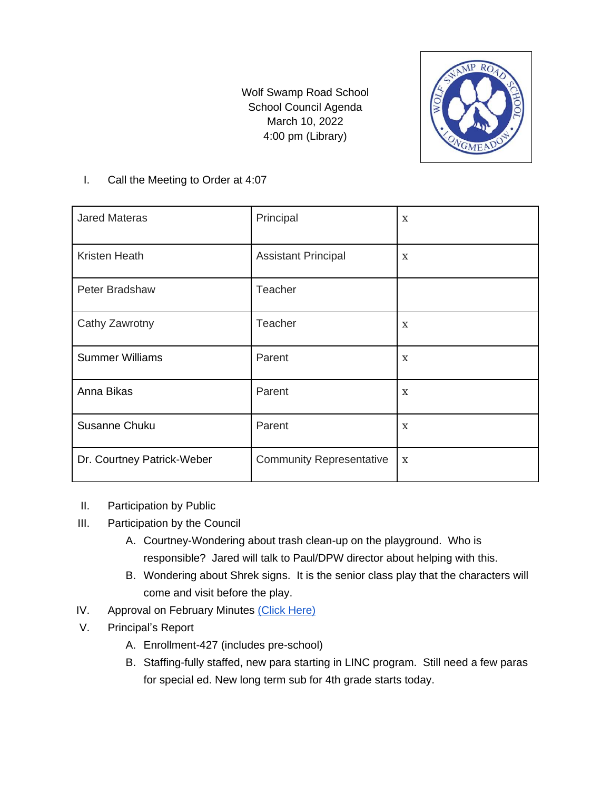Wolf Swamp Road School School Council Agenda March 10, 2022 4:00 pm (Library)



## I. Call the Meeting to Order at 4:07

| <b>Jared Materas</b>       | Principal                       | $\mathbf{x}$ |
|----------------------------|---------------------------------|--------------|
| Kristen Heath              | <b>Assistant Principal</b>      | X            |
| Peter Bradshaw             | Teacher                         |              |
| Cathy Zawrotny             | Teacher                         | X            |
| <b>Summer Williams</b>     | Parent                          | X            |
| Anna Bikas                 | Parent                          | X            |
| Susanne Chuku              | Parent                          | X            |
| Dr. Courtney Patrick-Weber | <b>Community Representative</b> | $\mathbf{x}$ |

## II. Participation by Public

- III. Participation by the Council
	- A. Courtney-Wondering about trash clean-up on the playground. Who is responsible? Jared will talk to Paul/DPW director about helping with this.
	- B. Wondering about Shrek signs. It is the senior class play that the characters will come and visit before the play.
- IV. Approval on February Minutes [\(Click Here\)](https://docs.google.com/document/d/1u2EDjZ-8pXVYTeI7LEcKC2aVMp68_Ia-Er8xWzRXR5M/edit?usp=sharing)
- V. Principal's Report
	- A. Enrollment-427 (includes pre-school)
	- B. Staffing-fully staffed, new para starting in LINC program. Still need a few paras for special ed. New long term sub for 4th grade starts today.